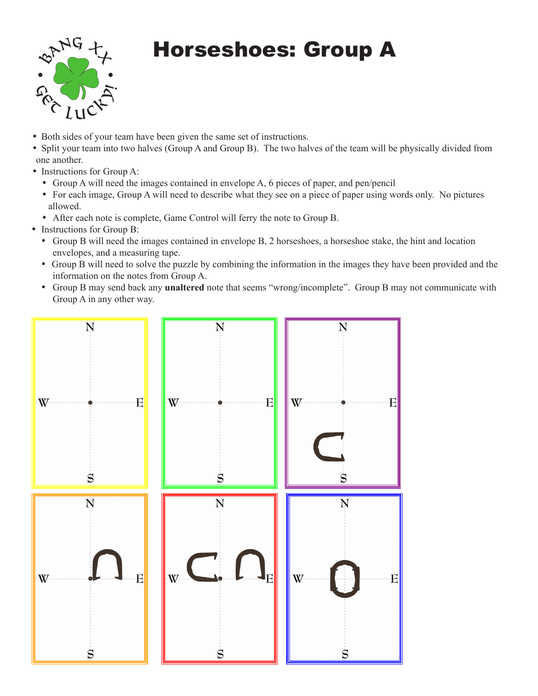

## Horseshoes: Group A

- Both sides of your team have been given the same set of instructions.
- Split your team into two halves (Group A and Group B). The two halves of the team will be physically divided from one another.
- Instructions for Group A:
	- • Group A will need the images contained in envelope A, 6 pieces of paper, and pen/pencil
	- For each image, Group A will need to describe what they see on a piece of paper using words only. No pictures allowed.
	- After each note is complete, Game Control will ferry the note to Group B.
- Instructions for Group B:
	- • Group B will need the images contained in envelope B, 2 horseshoes, a horseshoe stake, the hint and location envelopes, and a measuring tape.
	- • Group B will need to solve the puzzle by combining the information in the images they have been provided and the information on the notes from Group A.
	- • Group B may send back any **unaltered** note that seems "wrong/incomplete". Group B may not communicate with Group A in any other way.